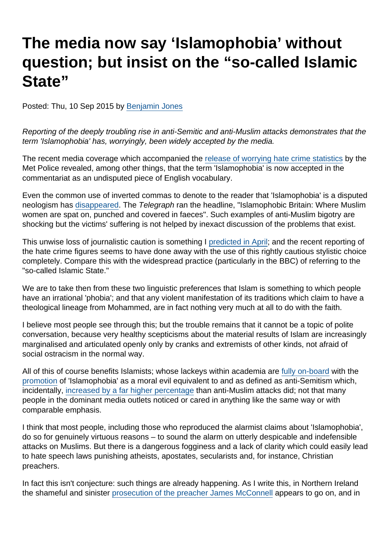## The media now say 'Islamophobia' without question; but insist on the "so-called Islamic State"

Posted: Thu, 10 Sep 2015 by [Benjamin Jones](https://www.secularism.org.uk/opinion/authors/851)

Reporting of the deeply troubling rise in anti-Semitic and anti-Muslim attacks demonstrates that the term 'Islamophobia' has, worryingly, been widely accepted by the media.

The recent media coverage which accompanied the [release of worrying hate crime statistics](http://www.bbc.co.uk/news/uk-england-london-34138127) by the Met Police revealed, among other things, that the term 'Islamophobia' is now accepted in the commentariat as an undisputed piece of English vocabulary.

Even the common use of inverted commas to denote to the reader that 'Islamophobia' is a disputed neologism has [disappeared.](http://www.dailymail.co.uk/news/article-3225020/Shocking-moment-hijab-wearing-woman-attacked-knocked-floor-unconscious-police-reveal-huge-rise-hate-crimes-against-Muslims.html) The Telegraph ran the headline, "Islamophobic Britain: Where Muslim women are spat on, punched and covered in faeces". Such examples of anti-Muslim bigotry are shocking but the victims' suffering is not helped by inexact discussion of the problems that exist.

This unwise loss of journalistic caution is something I [predicted in April](https://www.secularism.org.uk/blog/2015/04/why-we-should-stop-saying-islamophobia); and the recent reporting of the hate crime figures seems to have done away with the use of this rightly cautious stylistic choice completely. Compare this with the widespread practice (particularly in the BBC) of referring to the "so-called Islamic State."

We are to take then from these two linguistic preferences that Islam is something to which people have an irrational 'phobia'; and that any violent manifestation of its traditions which claim to have a theological lineage from Mohammed, are in fact nothing very much at all to do with the faith.

I believe most people see through this; but the trouble remains that it cannot be a topic of polite conversation, because very healthy scepticisms about the material results of Islam are increasingly marginalised and articulated openly only by cranks and extremists of other kinds, not afraid of social ostracism in the normal way.

All of this of course benefits Islamists; whose lackeys within academia are [fully on-board](https://www.secularism.org.uk/blog/2015/09/the-encroachment-of-reactionary-islamism-in-academic-life) with the [promotion](http://www.bath.ac.uk/ipr/events/news-0126.html) of 'Islamophobia' as a moral evil equivalent to and as defined as anti-Semitism which, incidentally, [increased by a far higher percentage](http://blogs.spectator.co.uk/brendan-oneill/2015/09/why-does-the-left-care-more-about-muslims-than-jews/) than anti-Muslim attacks did; not that many people in the dominant media outlets noticed or cared in anything like the same way or with comparable emphasis.

I think that most people, including those who reproduced the alarmist claims about 'Islamophobia', do so for genuinely virtuous reasons – to sound the alarm on utterly despicable and indefensible attacks on Muslims. But there is a dangerous fogginess and a lack of clarity which could easily lead to hate speech laws punishing atheists, apostates, secularists and, for instance, Christian preachers.

In fact this isn't conjecture: such things are already happening. As I write this, in Northern Ireland the shameful and sinister [prosecution of the preacher James McConnell](https://www.secularism.org.uk/blog/2015/06/preacher-james-mcconnell-faces-prosecution-for-calling-islam-satanic--the-state-again-tramples-over-free-expression) appears to go on, and in